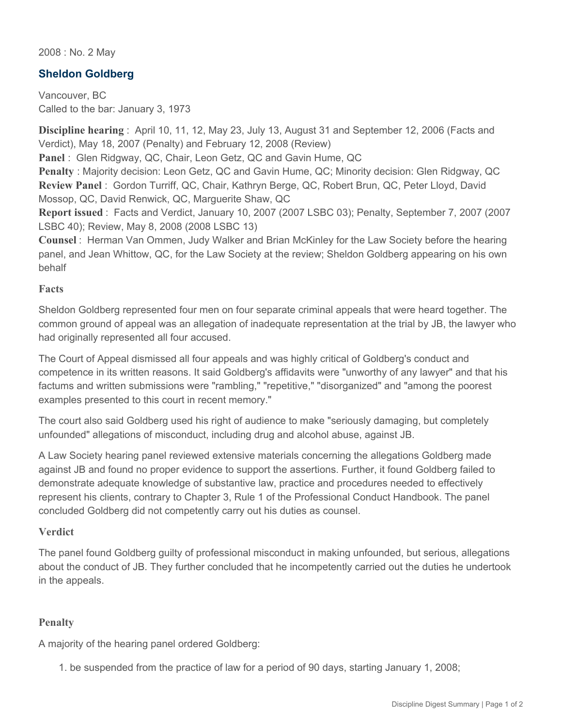2008 : No. 2 May

## **Sheldon Goldberg**

Vancouver, BC Called to the bar: January 3, 1973

**Discipline hearing** : April 10, 11, 12, May 23, July 13, August 31 and September 12, 2006 (Facts and Verdict), May 18, 2007 (Penalty) and February 12, 2008 (Review)

**Panel** : Glen Ridgway, QC, Chair, Leon Getz, QC and Gavin Hume, QC

**Penalty** : Majority decision: Leon Getz, QC and Gavin Hume, QC; Minority decision: Glen Ridgway, QC **Review Panel** : Gordon Turriff, QC, Chair, Kathryn Berge, QC, Robert Brun, QC, Peter Lloyd, David Mossop, QC, David Renwick, QC, Marguerite Shaw, QC

**Report issued** : Facts and Verdict, January 10, 2007 (2007 LSBC 03); Penalty, September 7, 2007 (2007 LSBC 40); Review, May 8, 2008 (2008 LSBC 13)

**Counsel** : Herman Van Ommen, Judy Walker and Brian McKinley for the Law Society before the hearing panel, and Jean Whittow, QC, for the Law Society at the review; Sheldon Goldberg appearing on his own behalf

#### **Facts**

Sheldon Goldberg represented four men on four separate criminal appeals that were heard together. The common ground of appeal was an allegation of inadequate representation at the trial by JB, the lawyer who had originally represented all four accused.

The Court of Appeal dismissed all four appeals and was highly critical of Goldberg's conduct and competence in its written reasons. It said Goldberg's affidavits were "unworthy of any lawyer" and that his factums and written submissions were "rambling," "repetitive," "disorganized" and "among the poorest examples presented to this court in recent memory."

The court also said Goldberg used his right of audience to make "seriously damaging, but completely unfounded" allegations of misconduct, including drug and alcohol abuse, against JB.

A Law Society hearing panel reviewed extensive materials concerning the allegations Goldberg made against JB and found no proper evidence to support the assertions. Further, it found Goldberg failed to demonstrate adequate knowledge of substantive law, practice and procedures needed to effectively represent his clients, contrary to Chapter 3, Rule 1 of the Professional Conduct Handbook. The panel concluded Goldberg did not competently carry out his duties as counsel.

### **Verdict**

The panel found Goldberg guilty of professional misconduct in making unfounded, but serious, allegations about the conduct of JB. They further concluded that he incompetently carried out the duties he undertook in the appeals.

### **Penalty**

A majority of the hearing panel ordered Goldberg:

1. be suspended from the practice of law for a period of 90 days, starting January 1, 2008;